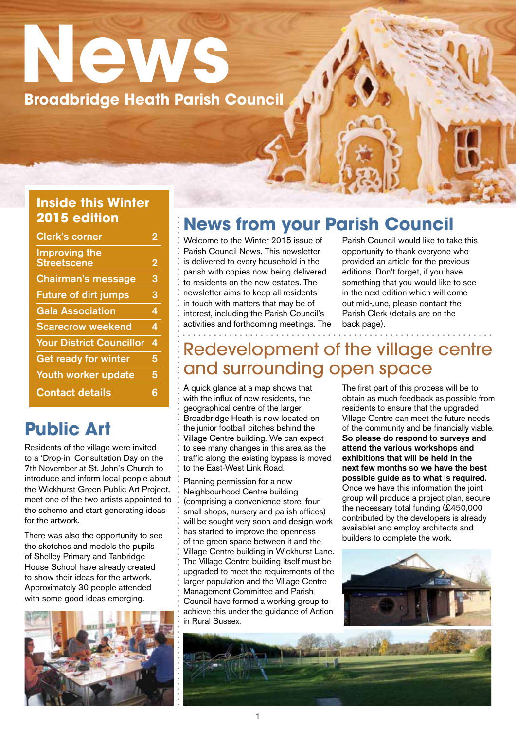# **News Broadbridge Heath Parish Council**

#### **Inside this Winter 2015 edition**

| <b>Clerk's corner</b>                      | 2 |
|--------------------------------------------|---|
| <b>Improving the</b><br><b>Streetscene</b> | 2 |
| <b>Chairman's message</b>                  | 3 |
| <b>Future of dirt jumps</b>                | 3 |
| <b>Gala Association</b>                    | 4 |
| <b>Scarecrow weekend</b>                   | 4 |
| <b>Your District Councillor</b>            | 4 |
| <b>Get ready for winter</b>                | 5 |
| Youth worker update                        | 5 |
| <b>Contact details</b>                     | 6 |

## **Public Art**

Residents of the village were invited to a 'Drop-in' Consultation Day on the 7th November at St. John's Church to introduce and inform local people about the Wickhurst Green Public Art Project, meet one of the two artists appointed to the scheme and start generating ideas for the artwork.

There was also the opportunity to see the sketches and models the pupils of Shelley Primary and Tanbridge House School have already created to show their ideas for the artwork. Approximately 30 people attended with some good ideas emerging.



### **News from your Parish Council**

 $\mathbf{u}$ 

Welcome to the Winter 2015 issue of Parish Council News. This newsletter is delivered to every household in the parish with copies now being delivered to residents on the new estates. The newsletter aims to keep all residents in touch with matters that may be of interest, including the Parish Council's activities and forthcoming meetings. The Parish Council would like to take this opportunity to thank everyone who provided an article for the previous editions. Don't forget, if you have something that you would like to see in the next edition which will come out mid-June, please contact the Parish Clerk (details are on the back page).

### Redevelopment of the village centre and surrounding open space

A quick glance at a map shows that with the influx of new residents, the geographical centre of the larger Broadbridge Heath is now located on the junior football pitches behind the Village Centre building. We can expect to see many changes in this area as the traffic along the existing bypass is moved to the East-West Link Road.

Planning permission for a new Neighbourhood Centre building (comprising a convenience store, four small shops, nursery and parish offices) will be sought very soon and design work has started to improve the openness of the green space between it and the Village Centre building in Wickhurst Lane. The Village Centre building itself must be upgraded to meet the requirements of the larger population and the Village Centre Management Committee and Parish Council have formed a working group to achieve this under the guidance of Action in Rural Sussex.

The first part of this process will be to obtain as much feedback as possible from residents to ensure that the upgraded Village Centre can meet the future needs of the community and be financially viable. So please do respond to surveys and attend the various workshops and exhibitions that will be held in the next few months so we have the best possible guide as to what is required. Once we have this information the joint group will produce a project plan, secure the necessary total funding (£450,000 contributed by the developers is already available) and employ architects and builders to complete the work.



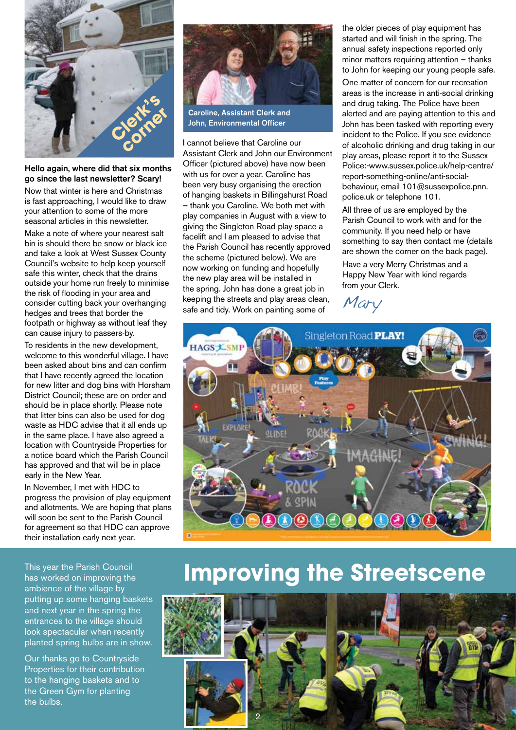

#### Hello again, where did that six months go since the last newsletter? Scary!

Now that winter is here and Christmas is fast approaching, I would like to draw your attention to some of the more seasonal articles in this newsletter.

Make a note of where your nearest salt bin is should there be snow or black ice and take a look at West Sussex County Council's website to help keep yourself safe this winter, check that the drains outside your home run freely to minimise the risk of flooding in your area and consider cutting back your overhanging hedges and trees that border the footpath or highway as without leaf they can cause injury to passers-by.

To residents in the new development, welcome to this wonderful village. I have been asked about bins and can confirm that I have recently agreed the location for new litter and dog bins with Horsham District Council; these are on order and should be in place shortly. Please note that litter bins can also be used for dog waste as HDC advise that it all ends up in the same place. I have also agreed a location with Countryside Properties for a notice board which the Parish Council has approved and that will be in place early in the New Year.

In November, I met with HDC to progress the provision of play equipment and allotments. We are hoping that plans will soon be sent to the Parish Council for agreement so that HDC can approve their installation early next year.

This year the Parish Council has worked on improving the ambience of the village by putting up some hanging baskets and next year in the spring the entrances to the village should look spectacular when recently planted spring bulbs are in show.

Our thanks go to Countryside Properties for their contribution to the hanging baskets and to the Green Gym for planting the bulbs.



Caroline, Assistant Clerk and John, Environmental Officer

I cannot believe that Caroline our Assistant Clerk and John our Environment Officer (pictured above) have now been with us for over a year. Caroline has been very busy organising the erection of hanging baskets in Billingshurst Road – thank you Caroline. We both met with play companies in August with a view to giving the Singleton Road play space a facelift and I am pleased to advise that the Parish Council has recently approved the scheme (pictured below). We are now working on funding and hopefully the new play area will be installed in the spring. John has done a great job in keeping the streets and play areas clean, safe and tidy. Work on painting some of

the older pieces of play equipment has started and will finish in the spring. The annual safety inspections reported only minor matters requiring attention – thanks to John for keeping our young people safe.

One matter of concern for our recreation areas is the increase in anti-social drinking and drug taking. The Police have been alerted and are paying attention to this and John has been tasked with reporting every incident to the Police. If you see evidence of alcoholic drinking and drug taking in our play areas, please report it to the Sussex Police:-www.sussex.police.uk/help-centre/ report-something-online/anti-socialbehaviour, email 101@sussexpolice.pnn. police.uk or telephone 101.

All three of us are employed by the Parish Council to work with and for the community. If you need help or have something to say then contact me (details are shown the corner on the back page). Have a very Merry Christmas and a Happy New Year with kind regards from your Clerk.

Mary



## **Improving the Streetscene**

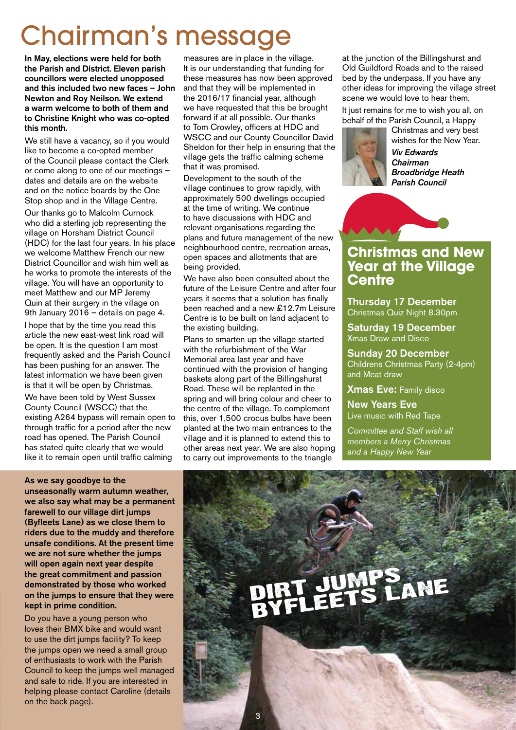## Chairman's messag

In May, elections were held for both the Parish and District. Eleven parish councillors were elected unopposed and this included two new faces – John Newton and Roy Neilson. We extend a warm welcome to both of them and to Christine Knight who was co-opted this month.

We still have a vacancy, so if you would like to become a co-opted member of the Council please contact the Clerk or come along to one of our meetings – dates and details are on the website and on the notice boards by the One Stop shop and in the Village Centre.

Our thanks go to Malcolm Curnock who did a sterling job representing the village on Horsham District Council (HDC) for the last four years. In his place we welcome Matthew French our new District Councillor and wish him well as he works to promote the interests of the village. You will have an opportunity to meet Matthew and our MP Jeremy Quin at their surgery in the village on 9th January 2016 – details on page 4.

I hope that by the time you read this article the new east-west link road will be open. It is the question I am most frequently asked and the Parish Council has been pushing for an answer. The latest information we have been given is that it will be open by Christmas.

We have been told by West Sussex County Council (WSCC) that the existing A264 bypass will remain open to through traffic for a period after the new road has opened. The Parish Council has stated quite clearly that we would like it to remain open until traffic calming

#### As we say goodbye to the

unseasonally warm autumn weather, we also say what may be a permanent farewell to our village dirt jumps (Byfleets Lane) as we close them to riders due to the muddy and therefore unsafe conditions. At the present time we are not sure whether the jumps will open again next year despite the great commitment and passion demonstrated by those who worked on the jumps to ensure that they were kept in prime condition.

Do you have a young person who loves their BMX bike and would want to use the dirt jumps facility? To keep the jumps open we need a small group of enthusiasts to work with the Parish Council to keep the jumps well managed and safe to ride. If you are interested in helping please contact Caroline (details on the back page).

measures are in place in the village. It is our understanding that funding for these measures has now been approved and that they will be implemented in the 2016/17 financial year, although we have requested that this be brought forward if at all possible. Our thanks to Tom Crowley, officers at HDC and WSCC and our County Councillor David Sheldon for their help in ensuring that the village gets the traffic calming scheme that it was promised.

Development to the south of the village continues to grow rapidly, with approximately 500 dwellings occupied at the time of writing. We continue to have discussions with HDC and relevant organisations regarding the plans and future management of the new neighbourhood centre, recreation areas, open spaces and allotments that are being provided.

We have also been consulted about the future of the Leisure Centre and after four years it seems that a solution has finally been reached and a new £12.7m Leisure Centre is to be built on land adjacent to the existing building.

Plans to smarten up the village started with the refurbishment of the War Memorial area last year and have continued with the provision of hanging baskets along part of the Billingshurst Road. These will be replanted in the spring and will bring colour and cheer to the centre of the village. To complement this, over 1,500 crocus bulbs have been planted at the two main entrances to the village and it is planned to extend this to other areas next year. We are also hoping to carry out improvements to the triangle

at the junction of the Billingshurst and Old Guildford Roads and to the raised bed by the underpass. If you have any other ideas for improving the village street scene we would love to hear them.

It just remains for me to wish you all, on behalf of the Parish Council, a Happy

Christmas and very best

wishes for the New Year. *Viv Edwards Chairman Broadbridge Heath Parish Council*



#### **Christmas and New Year at the Village Centre**

Thursday 17 December Christmas Quiz Night 8.30pm

Saturday 19 December Xmas Draw and Disco

Sunday 20 December Childrens Christmas Party (2-4pm) and Meat draw

Xmas Eve: Family disco

New Years Eve Live music with Red Tape

*Committee and Staff wish all members a Merry Christmas and a Happy New Year*

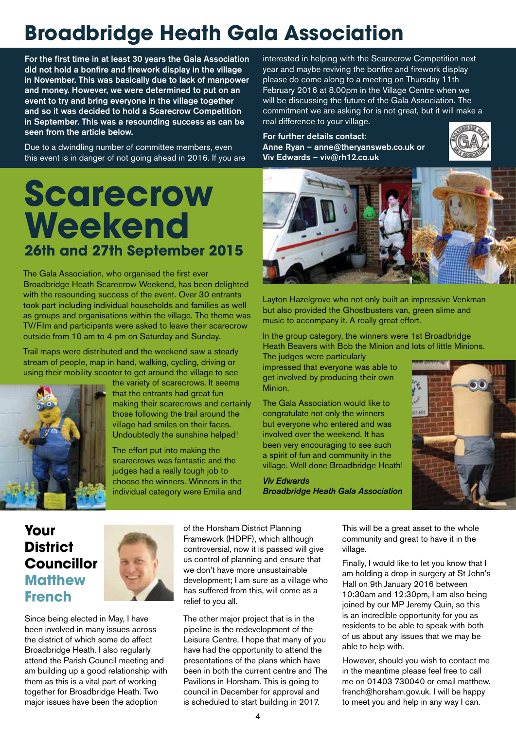## **Broadbridge Heath Gala Association**

For the first time in at least 30 years the Gala Association did not hold a bonfire and firework display in the village in November. This was basically due to lack of manpower and money. However, we were determined to put on an event to try and bring everyone in the village together and so it was decided to hold a Scarecrow Competition in September. This was a resounding success as can be seen from the article below.

Due to a dwindling number of committee members, even this event is in danger of not going ahead in 2016. If you are

## **Scarecrow Weekend 26th and 27th September 2015**

The Gala Association, who organised the first ever Broadbridge Heath Scarecrow Weekend, has been delighted with the resounding success of the event. Over 30 entrants took part including individual households and families as well as groups and organisations within the village. The theme was TV/Film and participants were asked to leave their scarecrow outside from 10 am to 4 pm on Saturday and Sunday.

Trail maps were distributed and the weekend saw a steady stream of people, map in hand, walking, cycling, driving or using their mobility scooter to get around the village to see



the variety of scarecrows. It seems that the entrants had great fun making their scarecrows and certainly those following the trail around the village had smiles on their faces. Undoubtedly the sunshine helped!

The effort put into making the scarecrows was fantastic and the judges had a really tough job to choose the winners. Winners in the individual category were Emilia and

interested in helping with the Scarecrow Competition next year and maybe reviving the bonfire and firework display please do come along to a meeting on Thursday 11th February 2016 at 8.00pm in the Village Centre when we will be discussing the future of the Gala Association. The commitment we are asking for is not great, but it will make a real difference to your village.

For further details contact: Anne Ryan – anne@theryansweb.co.uk or Viv Edwards – viv@rh12.co.uk





Layton Hazelgrove who not only built an impressive Venkman but also provided the Ghostbusters van, green slime and music to accompany it. A really great effort.

In the group category, the winners were 1st Broadbridge Heath Beavers with Bob the Minion and lots of little Minions.

The judges were particularly impressed that everyone was able to get involved by producing their own Minion.

The Gala Association would like to congratulate not only the winners but everyone who entered and was involved over the weekend. It has been very encouraging to see such a spirit of fun and community in the village. Well done Broadbridge Heath!

*Viv Edwards Broadbridge Heath Gala Association*



#### **Your District Councillor Matthew French**



Since being elected in May, I have been involved in many issues across the district of which some do affect Broadbridge Heath. I also regularly attend the Parish Council meeting and am building up a good relationship with them as this is a vital part of working together for Broadbridge Heath. Two major issues have been the adoption

of the Horsham District Planning Framework (HDPF), which although controversial, now it is passed will give us control of planning and ensure that we don't have more unsustainable development; I am sure as a village who has suffered from this, will come as a relief to you all.

The other major project that is in the pipeline is the redevelopment of the Leisure Centre. I hope that many of you have had the opportunity to attend the presentations of the plans which have been in both the current centre and The Pavilions in Horsham. This is going to council in December for approval and is scheduled to start building in 2017.

This will be a great asset to the whole community and great to have it in the village.

Finally, I would like to let you know that I am holding a drop in surgery at St John's Hall on 9th January 2016 between 10:30am and 12:30pm, I am also being joined by our MP Jeremy Quin, so this is an incredible opportunity for you as residents to be able to speak with both of us about any issues that we may be able to help with.

However, should you wish to contact me in the meantime please feel free to call me on 01403 730040 or email matthew. french@horsham.gov.uk. I will be happy to meet you and help in any way I can.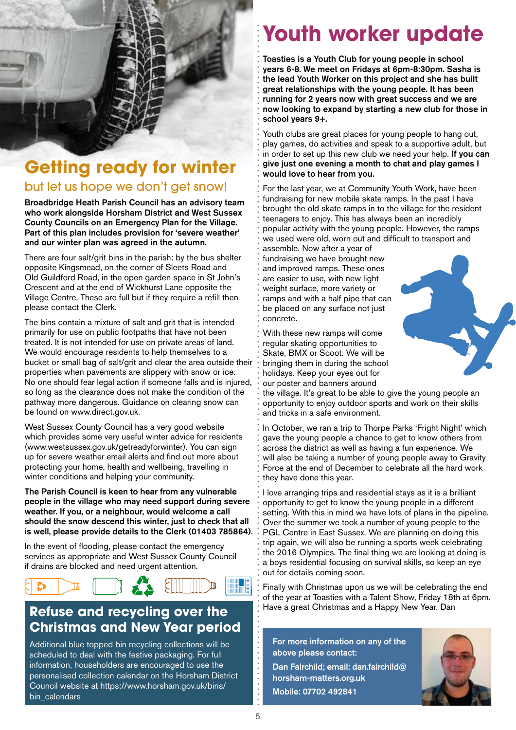

## **Getting ready for winter**

#### but let us hope we don't get snow!

Broadbridge Heath Parish Council has an advisory team who work alongside Horsham District and West Sussex County Councils on an Emergency Plan for the Village. Part of this plan includes provision for 'severe weather' and our winter plan was agreed in the autumn.

There are four salt/grit bins in the parish: by the bus shelter opposite Kingsmead, on the corner of Sleets Road and Old Guildford Road, in the open garden space in St John's Crescent and at the end of Wickhurst Lane opposite the Village Centre. These are full but if they require a refill then please contact the Clerk.

The bins contain a mixture of salt and grit that is intended primarily for use on public footpaths that have not been treated. It is not intended for use on private areas of land. We would encourage residents to help themselves to a bucket or small bag of salt/grit and clear the area outside their properties when pavements are slippery with snow or ice. No one should fear legal action if someone falls and is injured, so long as the clearance does not make the condition of the pathway more dangerous. Guidance on clearing snow can be found on www.direct.gov.uk.

West Sussex County Council has a very good website which provides some very useful winter advice for residents (www.westsussex.gov.uk/getreadyforwinter). You can sign up for severe weather email alerts and find out more about protecting your home, health and wellbeing, travelling in winter conditions and helping your community.

The Parish Council is keen to hear from any vulnerable people in the village who may need support during severe weather. If you, or a neighbour, would welcome a call should the snow descend this winter, just to check that all is well, please provide details to the Clerk (01403 785864).

In the event of flooding, please contact the emergency services as appropriate and West Sussex County Council if drains are blocked and need urgent attention.



#### **Refuse and recycling over the Christmas and New Year period**

Additional blue topped bin recycling collections will be scheduled to deal with the festive packaging. For full information, householders are encouraged to use the personalised collection calendar on the Horsham District Council website at https://www.horsham.gov.uk/bins/ bin calendars

## **Youth worker update**

Toasties is a Youth Club for young people in school years 6-8. We meet on Fridays at 6pm-8:30pm. Sasha is the lead Youth Worker on this project and she has built great relationships with the young people. It has been running for 2 years now with great success and we are now looking to expand by starting a new club for those in school years 9+.

Youth clubs are great places for young people to hang out, play games, do activities and speak to a supportive adult, but in order to set up this new club we need your help. If you can give just one evening a month to chat and play games I would love to hear from you.

For the last year, we at Community Youth Work, have been fundraising for new mobile skate ramps. In the past I have brought the old skate ramps in to the village for the resident teenagers to enjoy. This has always been an incredibly popular activity with the young people. However, the ramps we used were old, worn out and difficult to transport and

assemble. Now after a year of fundraising we have brought new and improved ramps. These ones are easier to use, with new light weight surface, more variety or ramps and with a half pipe that can be placed on any surface not just concrete.

With these new ramps will come regular skating opportunities to Skate, BMX or Scoot. We will be bringing them in during the school holidays. Keep your eyes out for our poster and banners around



the village. It's great to be able to give the young people an opportunity to enjoy outdoor sports and work on their skills and tricks in a safe environment.

In October, we ran a trip to Thorpe Parks 'Fright Night' which gave the young people a chance to get to know others from across the district as well as having a fun experience. We will also be taking a number of young people away to Gravity Force at the end of December to celebrate all the hard work they have done this year.

I love arranging trips and residential stays as it is a brilliant opportunity to get to know the young people in a different setting. With this in mind we have lots of plans in the pipeline. Over the summer we took a number of young people to the PGL Centre in East Sussex. We are planning on doing this trip again, we will also be running a sports week celebrating the 2016 Olympics. The final thing we are looking at doing is a boys residential focusing on survival skills, so keep an eye out for details coming soon.

Finally with Christmas upon us we will be celebrating the end of the year at Toasties with a Talent Show, Friday 18th at 6pm. Have a great Christmas and a Happy New Year, Dan

For more information on any of the above please contact: Dan Fairchild; email: dan.fairchild@ horsham-matters.org.uk Mobile: 07702 492841